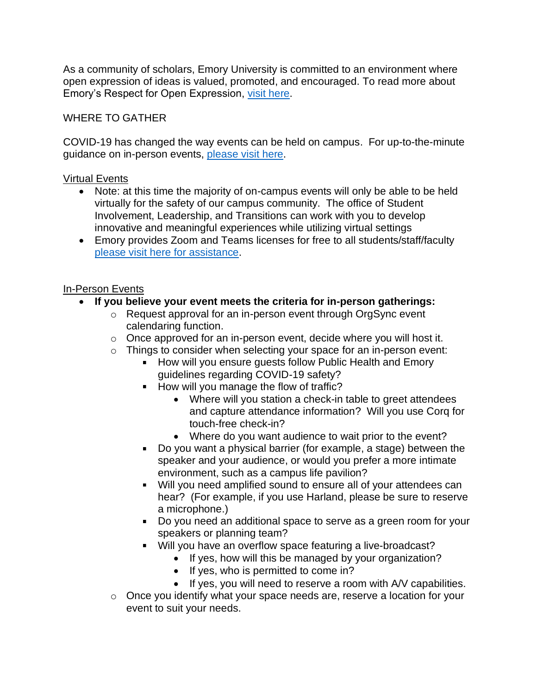As a community of scholars, Emory University is committed to an environment where open expression of ideas is valued, promoted, and encouraged. To read more about Emory's Respect for Open Expression, [visit here.](http://campuslife.emory.edu/about/initiatives/open-expression/index.html)

WHERE TO GATHER

COVID-19 has changed the way events can be held on campus. For up-to-the-minute guidance on in-person events, [please visit](http://lead.emory.edu/involvement/covid-planning-guide.html) here.

## Virtual Events

- Note: at this time the majority of on-campus events will only be able to be held virtually for the safety of our campus community. The office of Student Involvement, Leadership, and Transitions can work with you to develop innovative and meaningful experiences while utilizing virtual settings
- Emory provides Zoom and Teams licenses for free to all students/staff/faculty [please visit here](http://lead.emory.edu/involvement/covid-planning-guide.html) for assistance.

## In-Person Events

- **If you believe your event meets the criteria for in-person gatherings:**
	- o Request approval for an in-person event through OrgSync event calendaring function.
	- $\circ$  Once approved for an in-person event, decide where you will host it.
	- o Things to consider when selecting your space for an in-person event:
		- How will you ensure quests follow Public Health and Emory guidelines regarding COVID-19 safety?
		- How will you manage the flow of traffic?
			- Where will you station a check-in table to greet attendees and capture attendance information? Will you use Corq for touch-free check-in?
			- Where do you want audience to wait prior to the event?
		- Do you want a physical barrier (for example, a stage) between the speaker and your audience, or would you prefer a more intimate environment, such as a campus life pavilion?
		- Will you need amplified sound to ensure all of your attendees can hear? (For example, if you use Harland, please be sure to reserve a microphone.)
		- Do you need an additional space to serve as a green room for your speakers or planning team?
		- Will you have an overflow space featuring a live-broadcast?
			- If yes, how will this be managed by your organization?
			- If yes, who is permitted to come in?
			- If yes, you will need to reserve a room with A/V capabilities.
	- o Once you identify what your space needs are, reserve a location for your event to suit your needs.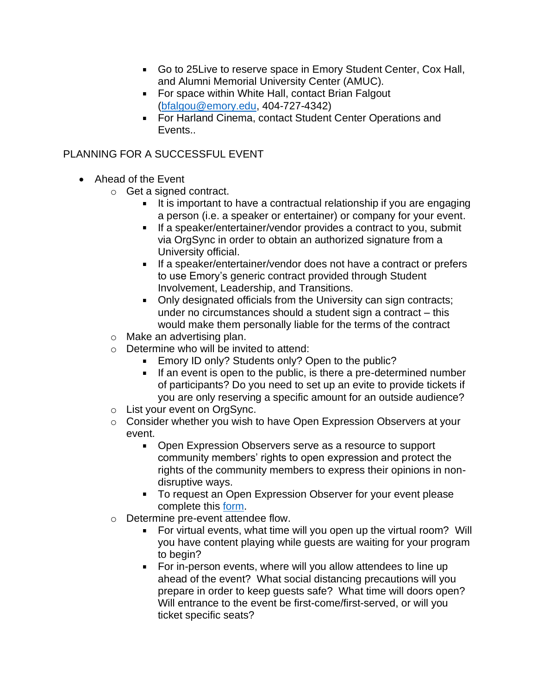- Go to 25Live to reserve space in Emory Student Center, Cox Hall, and Alumni Memorial University Center (AMUC).
- For space within White Hall, contact Brian Falgout [\(bfalgou@emory.edu,](mailto:bfalgou@emory.edu) 404-727-4342)
- **For Harland Cinema, contact Student Center Operations and** Events..

PLANNING FOR A SUCCESSFUL EVENT

- Ahead of the Event
	- o Get a signed contract.
		- $\blacksquare$  It is important to have a contractual relationship if you are engaging a person (i.e. a speaker or entertainer) or company for your event.
		- If a speaker/entertainer/vendor provides a contract to you, submit via OrgSync in order to obtain an authorized signature from a University official.
		- **If a speaker/entertainer/vendor does not have a contract or prefers** to use Emory's generic contract provided through Student Involvement, Leadership, and Transitions.
		- Only designated officials from the University can sign contracts; under no circumstances should a student sign a contract – this would make them personally liable for the terms of the contract
	- o Make an advertising plan.
	- o Determine who will be invited to attend:
		- **Emory ID only? Students only? Open to the public?**
		- If an event is open to the public, is there a pre-determined number of participants? Do you need to set up an evite to provide tickets if you are only reserving a specific amount for an outside audience?
	- o List your event on OrgSync.
	- o Consider whether you wish to have Open Expression Observers at your event.
		- Open Expression Observers serve as a resource to support community members' rights to open expression and protect the rights of the community members to express their opinions in nondisruptive ways.
		- **To request an Open Expression Observer for your event please** complete this [form.](http://www.central.campuslifetech.org/form/view.php?id=37590)
	- o Determine pre-event attendee flow.
		- For virtual events, what time will you open up the virtual room? Will you have content playing while guests are waiting for your program to begin?
		- **For in-person events, where will you allow attendees to line up** ahead of the event? What social distancing precautions will you prepare in order to keep guests safe? What time will doors open? Will entrance to the event be first-come/first-served, or will you ticket specific seats?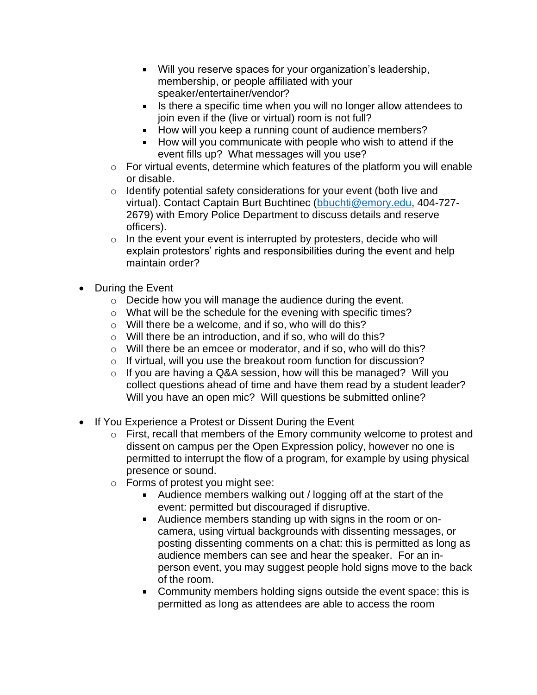- Will you reserve spaces for your organization's leadership, membership, or people affiliated with your speaker/entertainer/vendor?
- In Is there a specific time when you will no longer allow attendees to join even if the (live or virtual) room is not full?
- How will you keep a running count of audience members?
- How will you communicate with people who wish to attend if the event fills up? What messages will you use?
- $\circ$  For virtual events, determine which features of the platform you will enable or disable.
- o Identify potential safety considerations for your event (both live and virtual). Contact Captain Burt Buchtinec [\(bbuchti@emory.edu,](mailto:bbuchti@emory.edu) 404-727- 2679) with Emory Police Department to discuss details and reserve officers).
- $\circ$  In the event your event is interrupted by protesters, decide who will explain protestors' rights and responsibilities during the event and help maintain order?
- During the Event
	- o Decide how you will manage the audience during the event.
	- o What will be the schedule for the evening with specific times?
	- o Will there be a welcome, and if so, who will do this?
	- o Will there be an introduction, and if so, who will do this?
	- o Will there be an emcee or moderator, and if so, who will do this?
	- o If virtual, will you use the breakout room function for discussion?
	- $\circ$  If you are having a Q&A session, how will this be managed? Will you collect questions ahead of time and have them read by a student leader? Will you have an open mic? Will questions be submitted online?
- If You Experience a Protest or Dissent During the Event
	- o First, recall that members of the Emory community welcome to protest and dissent on campus per the Open Expression policy, however no one is permitted to interrupt the flow of a program, for example by using physical presence or sound.
	- o Forms of protest you might see:
		- Audience members walking out / logging off at the start of the event: permitted but discouraged if disruptive.
		- Audience members standing up with signs in the room or oncamera, using virtual backgrounds with dissenting messages, or posting dissenting comments on a chat: this is permitted as long as audience members can see and hear the speaker. For an inperson event, you may suggest people hold signs move to the back of the room.
		- **Community members holding signs outside the event space: this is** permitted as long as attendees are able to access the room